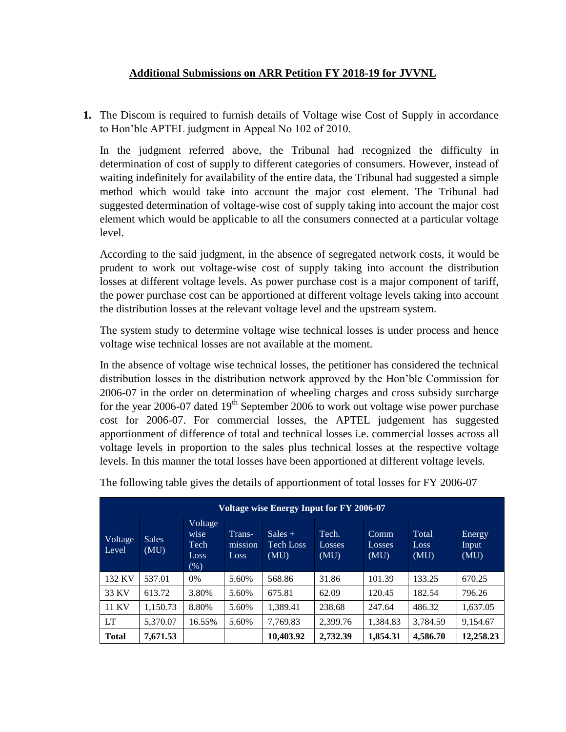# **Additional Submissions on ARR Petition FY 2018-19 for JVVNL**

**1.** The Discom is required to furnish details of Voltage wise Cost of Supply in accordance to Hon'ble APTEL judgment in Appeal No 102 of 2010.

In the judgment referred above, the Tribunal had recognized the difficulty in determination of cost of supply to different categories of consumers. However, instead of waiting indefinitely for availability of the entire data, the Tribunal had suggested a simple method which would take into account the major cost element. The Tribunal had suggested determination of voltage-wise cost of supply taking into account the major cost element which would be applicable to all the consumers connected at a particular voltage level.

According to the said judgment, in the absence of segregated network costs, it would be prudent to work out voltage-wise cost of supply taking into account the distribution losses at different voltage levels. As power purchase cost is a major component of tariff, the power purchase cost can be apportioned at different voltage levels taking into account the distribution losses at the relevant voltage level and the upstream system.

The system study to determine voltage wise technical losses is under process and hence voltage wise technical losses are not available at the moment.

In the absence of voltage wise technical losses, the petitioner has considered the technical distribution losses in the distribution network approved by the Hon'ble Commission for 2006-07 in the order on determination of wheeling charges and cross subsidy surcharge for the year 2006-07 dated  $19<sup>th</sup>$  September 2006 to work out voltage wise power purchase cost for 2006-07. For commercial losses, the APTEL judgement has suggested apportionment of difference of total and technical losses i.e. commercial losses across all voltage levels in proportion to the sales plus technical losses at the respective voltage levels. In this manner the total losses have been apportioned at different voltage levels.

| Voltage wise Energy Input for FY 2006-07 |                      |                                            |                           |                                |                                |                        |                        |                                |
|------------------------------------------|----------------------|--------------------------------------------|---------------------------|--------------------------------|--------------------------------|------------------------|------------------------|--------------------------------|
| Voltage<br>Level                         | <b>Sales</b><br>(MU) | Voltage<br>wise<br>Tech<br>Loss.<br>$(\%)$ | Trans-<br>mission<br>Loss | $Sales +$<br>Tech Loss<br>(MU) | Tech.<br><b>Losses</b><br>(MU) | Comm<br>Losses<br>(MU) | Total<br>Loss.<br>(MU) | <b>Energy</b><br>Input<br>(MU) |
| 132 KV                                   | 537.01               | $0\%$                                      | 5.60%                     | 568.86                         | 31.86                          | 101.39                 | 133.25                 | 670.25                         |
| 33 KV                                    | 613.72               | 3.80%                                      | 5.60%                     | 675.81                         | 62.09                          | 120.45                 | 182.54                 | 796.26                         |
| 11 KV                                    | 1,150.73             | 8.80%                                      | 5.60%                     | 1,389.41                       | 238.68                         | 247.64                 | 486.32                 | 1,637.05                       |
| LT.                                      | 5,370.07             | 16.55%                                     | 5.60%                     | 7,769.83                       | 2,399.76                       | 1,384.83               | 3,784.59               | 9,154.67                       |
| <b>Total</b>                             | 7,671.53             |                                            |                           | 10,403.92                      | 2,732.39                       | 1,854.31               | 4,586.70               | 12,258.23                      |

The following table gives the details of apportionment of total losses for FY 2006-07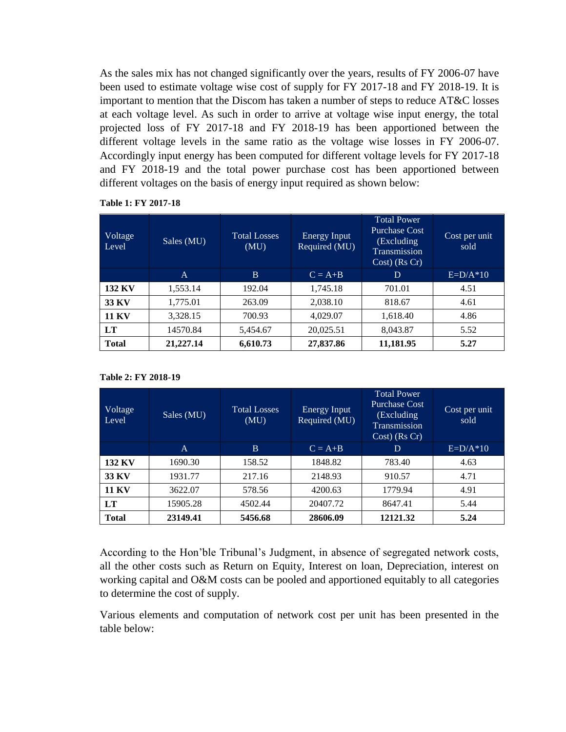As the sales mix has not changed significantly over the years, results of FY 2006-07 have been used to estimate voltage wise cost of supply for FY 2017-18 and FY 2018-19. It is important to mention that the Discom has taken a number of steps to reduce AT&C losses at each voltage level. As such in order to arrive at voltage wise input energy, the total projected loss of FY 2017-18 and FY 2018-19 has been apportioned between the different voltage levels in the same ratio as the voltage wise losses in FY 2006-07. Accordingly input energy has been computed for different voltage levels for FY 2017-18 and FY 2018-19 and the total power purchase cost has been apportioned between different voltages on the basis of energy input required as shown below:

| Voltage<br>Level | Sales (MU) | <b>Total Losses</b><br>(MU) | Energy Input<br>Required (MU) | <b>Total Power</b><br><b>Purchase Cost</b><br>(Excluding)<br>Transmission<br>$Cost)$ (Rs $Cr)$ | Cost per unit<br>sold |
|------------------|------------|-----------------------------|-------------------------------|------------------------------------------------------------------------------------------------|-----------------------|
|                  | A          | B                           | $C = A+B$                     | D                                                                                              | $E=D/A*10$            |
| <b>132 KV</b>    | 1,553.14   | 192.04                      | 1,745.18                      | 701.01                                                                                         | 4.51                  |
| 33 KV            | 1,775.01   | 263.09                      | 2,038.10                      | 818.67                                                                                         | 4.61                  |
| <b>11 KV</b>     | 3,328.15   | 700.93                      | 4,029.07                      | 1,618.40                                                                                       | 4.86                  |
| <b>LT</b>        | 14570.84   | 5,454.67                    | 20,025.51                     | 8,043.87                                                                                       | 5.52                  |
| <b>Total</b>     | 21,227.14  | 6,610.73                    | 27,837.86                     | 11,181.95                                                                                      | 5.27                  |

## **Table 1: FY 2017-18**

#### **Table 2: FY 2018-19**

| Voltage<br>Level | Sales (MU)   | <b>Total Losses</b><br>(MU) | Energy Input<br>Required (MU) | <b>Total Power</b><br><b>Purchase Cost</b><br>(Excluding<br><b>Transmission</b><br>$Cost)$ (Rs $Cr)$ | Cost per unit<br>sold |
|------------------|--------------|-----------------------------|-------------------------------|------------------------------------------------------------------------------------------------------|-----------------------|
|                  | $\mathsf{A}$ | B                           | $C = A+B$                     | D                                                                                                    | $E=D/A*10$            |
| <b>132 KV</b>    | 1690.30      | 158.52                      | 1848.82                       | 783.40                                                                                               | 4.63                  |
| <b>33 KV</b>     | 1931.77      | 217.16                      | 2148.93                       | 910.57                                                                                               | 4.71                  |
| <b>11 KV</b>     | 3622.07      | 578.56                      | 4200.63                       | 1779.94                                                                                              | 4.91                  |
| LT               | 15905.28     | 4502.44                     | 20407.72                      | 8647.41                                                                                              | 5.44                  |
| <b>Total</b>     | 23149.41     | 5456.68                     | 28606.09                      | 12121.32                                                                                             | 5.24                  |

According to the Hon'ble Tribunal's Judgment, in absence of segregated network costs, all the other costs such as Return on Equity, Interest on loan, Depreciation, interest on working capital and O&M costs can be pooled and apportioned equitably to all categories to determine the cost of supply.

Various elements and computation of network cost per unit has been presented in the table below: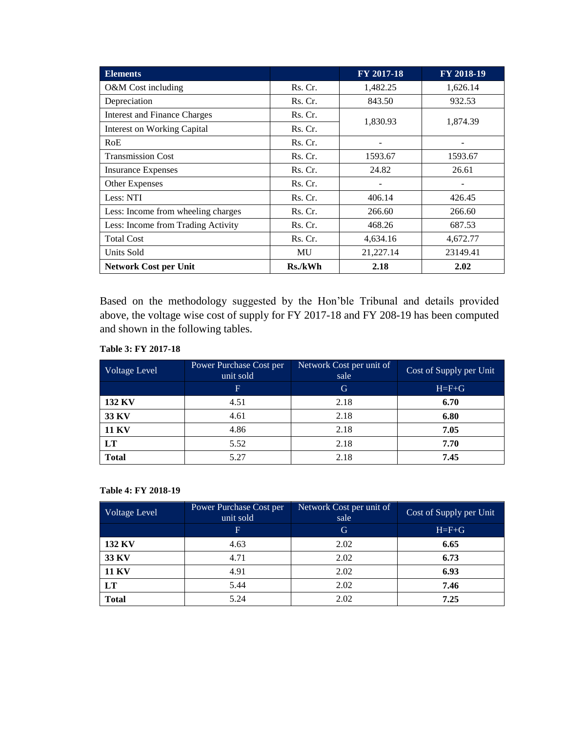| <b>Elements</b>                     |         | <b>FY 2017-18</b> | FY 2018-19 |
|-------------------------------------|---------|-------------------|------------|
| O&M Cost including                  | Rs. Cr. | 1,482.25          | 1,626.14   |
| Depreciation                        | Rs. Cr. | 843.50            | 932.53     |
| <b>Interest and Finance Charges</b> | Rs. Cr. | 1,830.93          | 1,874.39   |
| <b>Interest on Working Capital</b>  | Rs. Cr. |                   |            |
| RoE                                 | Rs. Cr. |                   |            |
| <b>Transmission Cost</b>            | Rs. Cr. | 1593.67           | 1593.67    |
| <b>Insurance Expenses</b>           | Rs. Cr. | 24.82             | 26.61      |
| Other Expenses                      | Rs. Cr. |                   |            |
| Less: NTI                           | Rs. Cr. | 406.14            | 426.45     |
| Less: Income from wheeling charges  | Rs. Cr. | 266.60            | 266.60     |
| Less: Income from Trading Activity  | Rs. Cr. | 468.26            | 687.53     |
| <b>Total Cost</b>                   | Rs. Cr. | 4,634.16          | 4,672.77   |
| Units Sold                          | MU      | 21,227.14         | 23149.41   |
| <b>Network Cost per Unit</b>        | Rs./kWh | 2.18              | 2.02       |

Based on the methodology suggested by the Hon'ble Tribunal and details provided above, the voltage wise cost of supply for FY 2017-18 and FY 208-19 has been computed and shown in the following tables.

#### **Table 3: FY 2017-18**

| Voltage Level | Power Purchase Cost per<br>unit sold | Network Cost per unit of<br>sale | Cost of Supply per Unit |
|---------------|--------------------------------------|----------------------------------|-------------------------|
|               | $\mathbf{F}$                         | G                                | $H = F + G$             |
| <b>132 KV</b> | 4.51                                 | 2.18                             | 6.70                    |
| 33 KV         | 4.61                                 | 2.18                             | 6.80                    |
| <b>11 KV</b>  | 4.86                                 | 2.18                             | 7.05                    |
| LT            | 5.52                                 | 2.18                             | 7.70                    |
| <b>Total</b>  | 5.27                                 | 2.18                             | 7.45                    |

### **Table 4: FY 2018-19**

| <b>Voltage Level</b> | Power Purchase Cost per<br>unit sold | Network Cost per unit of<br>sale | Cost of Supply per Unit |
|----------------------|--------------------------------------|----------------------------------|-------------------------|
|                      | F.                                   | G                                | $H = F + G$             |
| <b>132 KV</b>        | 4.63                                 | 2.02                             | 6.65                    |
| 33 KV                | 4.71                                 | 2.02                             | 6.73                    |
| <b>11 KV</b>         | 4.91                                 | 2.02                             | 6.93                    |
| LT                   | 5.44                                 | 2.02                             | 7.46                    |
| <b>Total</b>         | 5.24                                 | 2.02                             | 7.25                    |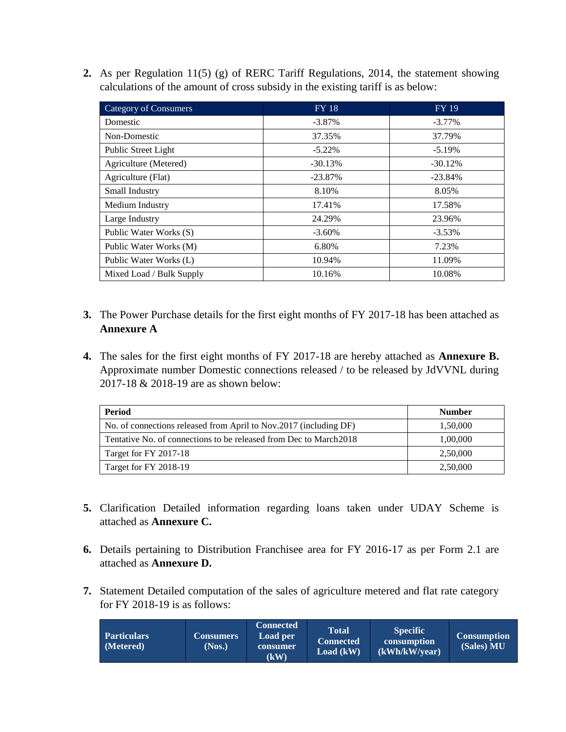**2.** As per Regulation 11(5) (g) of RERC Tariff Regulations, 2014, the statement showing calculations of the amount of cross subsidy in the existing tariff is as below:

| <b>Category of Consumers</b> | $FY$ 18   | <b>FY 19</b> |
|------------------------------|-----------|--------------|
| Domestic                     | $-3.87\%$ | $-3.77\%$    |
| Non-Domestic                 | 37.35%    | 37.79%       |
| Public Street Light          | $-5.22\%$ | $-5.19\%$    |
| Agriculture (Metered)        | $-30.13%$ | $-30.12%$    |
| Agriculture (Flat)           | $-23.87%$ | $-23.84%$    |
| Small Industry               | 8.10%     | 8.05%        |
| Medium Industry              | 17.41%    | 17.58%       |
| Large Industry               | 24.29%    | 23.96%       |
| Public Water Works (S)       | $-3.60\%$ | $-3.53\%$    |
| Public Water Works (M)       | 6.80%     | 7.23%        |
| Public Water Works (L)       | 10.94%    | 11.09%       |
| Mixed Load / Bulk Supply     | 10.16%    | 10.08%       |

- **3.** The Power Purchase details for the first eight months of FY 2017-18 has been attached as **Annexure A**
- **4.** The sales for the first eight months of FY 2017-18 are hereby attached as **Annexure B.** Approximate number Domestic connections released / to be released by JdVVNL during 2017-18 & 2018-19 are as shown below:

| Period                                                             | <b>Number</b> |
|--------------------------------------------------------------------|---------------|
| No. of connections released from April to Nov.2017 (including DF)  | 1,50,000      |
| Tentative No. of connections to be released from Dec to March 2018 | 1,00,000      |
| Target for FY 2017-18                                              | 2,50,000      |
| Target for FY 2018-19                                              | 2,50,000      |

- **5.** Clarification Detailed information regarding loans taken under UDAY Scheme is attached as **Annexure C.**
- **6.** Details pertaining to Distribution Franchisee area for FY 2016-17 as per Form 2.1 are attached as **Annexure D.**
- **7.** Statement Detailed computation of the sales of agriculture metered and flat rate category for FY 2018-19 is as follows:

| <b>Particulars</b><br>(Metered) | <b>Connected</b><br><b>Load per</b><br><b>Consumers</b><br>(Nos.)<br>consumer<br>$\mathbf (k\mathbf W)$ | <b>Total</b><br>Connected<br>Load (kW) | <b>Specific</b><br>consumption<br>(kWh/kW/year) | <b>Consumption</b><br>(Sales) MU |
|---------------------------------|---------------------------------------------------------------------------------------------------------|----------------------------------------|-------------------------------------------------|----------------------------------|
|---------------------------------|---------------------------------------------------------------------------------------------------------|----------------------------------------|-------------------------------------------------|----------------------------------|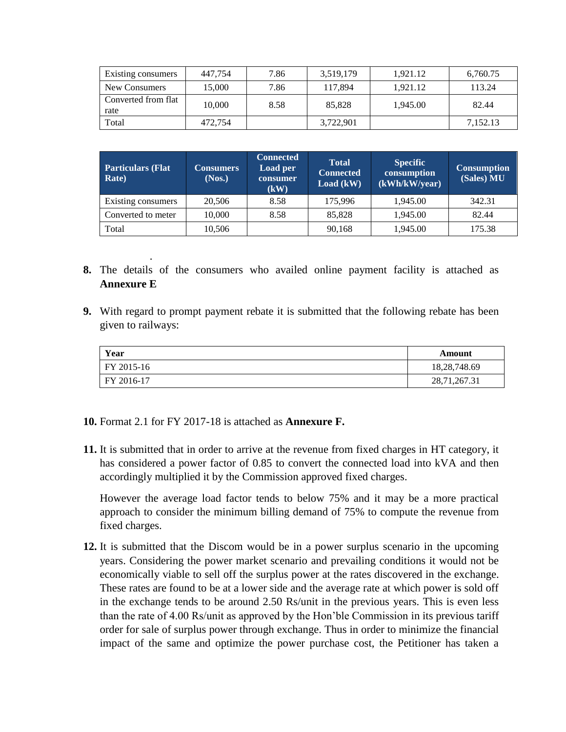| Existing consumers          | 447.754 | 7.86 | 3,519,179 | 1,921.12 | 6,760.75 |
|-----------------------------|---------|------|-----------|----------|----------|
| New Consumers               | 15,000  | 7.86 | 117,894   | 1.921.12 | 113.24   |
| Converted from flat<br>rate | 10.000  | 8.58 | 85,828    | 1.945.00 | 82.44    |
| Total                       | 472,754 |      | 3,722,901 |          | 7.152.13 |

| <b>Particulars (Flat</b><br>Rate) | Consumers<br>(Nos.) | <b>Connected</b><br><b>Load per</b><br>consumer<br>(kW) | <b>Total</b><br><b>Connected</b><br>Load (kW) | <b>Specific</b><br>consumption<br>(kWh/kW/year) | <b>Consumption</b><br>(Sales) MU |
|-----------------------------------|---------------------|---------------------------------------------------------|-----------------------------------------------|-------------------------------------------------|----------------------------------|
| Existing consumers                | 20,506              | 8.58                                                    | 175,996                                       | 1.945.00                                        | 342.31                           |
| Converted to meter                | 10,000              | 8.58                                                    | 85,828                                        | 1,945.00                                        | 82.44                            |
| Total                             | 10,506              |                                                         | 90,168                                        | 1,945.00                                        | 175.38                           |

- **8.** The details of the consumers who availed online payment facility is attached as **Annexure E**
- **9.** With regard to prompt payment rebate it is submitted that the following rebate has been given to railways:

| Year       | Amount       |
|------------|--------------|
| FY 2015-16 | 18,28,748.69 |
| FY 2016-17 | 28,71,267.31 |

**10.** Format 2.1 for FY 2017-18 is attached as **Annexure F.**

.

**11.** It is submitted that in order to arrive at the revenue from fixed charges in HT category, it has considered a power factor of 0.85 to convert the connected load into kVA and then accordingly multiplied it by the Commission approved fixed charges.

However the average load factor tends to below 75% and it may be a more practical approach to consider the minimum billing demand of 75% to compute the revenue from fixed charges.

**12.** It is submitted that the Discom would be in a power surplus scenario in the upcoming years. Considering the power market scenario and prevailing conditions it would not be economically viable to sell off the surplus power at the rates discovered in the exchange. These rates are found to be at a lower side and the average rate at which power is sold off in the exchange tends to be around 2.50 Rs/unit in the previous years. This is even less than the rate of 4.00 Rs/unit as approved by the Hon'ble Commission in its previous tariff order for sale of surplus power through exchange. Thus in order to minimize the financial impact of the same and optimize the power purchase cost, the Petitioner has taken a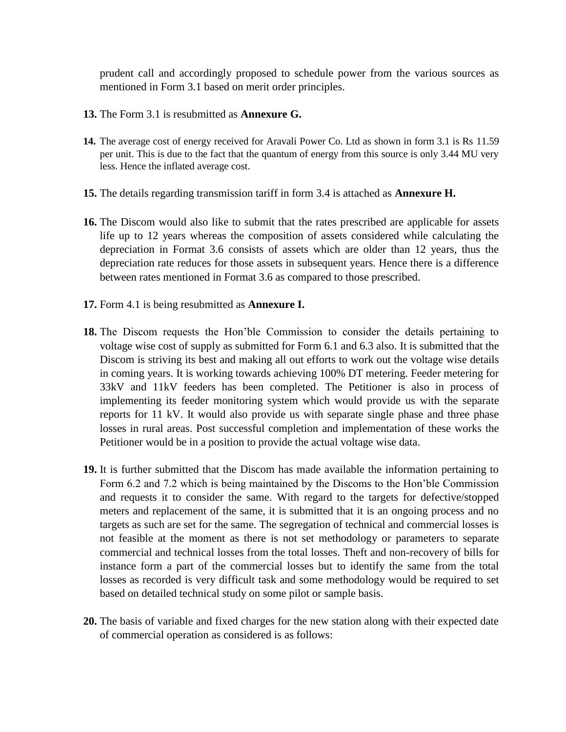prudent call and accordingly proposed to schedule power from the various sources as mentioned in Form 3.1 based on merit order principles.

- **13.** The Form 3.1 is resubmitted as **Annexure G.**
- **14.** The average cost of energy received for Aravali Power Co. Ltd as shown in form 3.1 is Rs 11.59 per unit. This is due to the fact that the quantum of energy from this source is only 3.44 MU very less. Hence the inflated average cost.
- **15.** The details regarding transmission tariff in form 3.4 is attached as **Annexure H.**
- **16.** The Discom would also like to submit that the rates prescribed are applicable for assets life up to 12 years whereas the composition of assets considered while calculating the depreciation in Format 3.6 consists of assets which are older than 12 years, thus the depreciation rate reduces for those assets in subsequent years. Hence there is a difference between rates mentioned in Format 3.6 as compared to those prescribed.
- **17.** Form 4.1 is being resubmitted as **Annexure I.**
- **18.** The Discom requests the Hon'ble Commission to consider the details pertaining to voltage wise cost of supply as submitted for Form 6.1 and 6.3 also. It is submitted that the Discom is striving its best and making all out efforts to work out the voltage wise details in coming years. It is working towards achieving 100% DT metering. Feeder metering for 33kV and 11kV feeders has been completed. The Petitioner is also in process of implementing its feeder monitoring system which would provide us with the separate reports for 11 kV. It would also provide us with separate single phase and three phase losses in rural areas. Post successful completion and implementation of these works the Petitioner would be in a position to provide the actual voltage wise data.
- **19.** It is further submitted that the Discom has made available the information pertaining to Form 6.2 and 7.2 which is being maintained by the Discoms to the Hon'ble Commission and requests it to consider the same. With regard to the targets for defective/stopped meters and replacement of the same, it is submitted that it is an ongoing process and no targets as such are set for the same. The segregation of technical and commercial losses is not feasible at the moment as there is not set methodology or parameters to separate commercial and technical losses from the total losses. Theft and non-recovery of bills for instance form a part of the commercial losses but to identify the same from the total losses as recorded is very difficult task and some methodology would be required to set based on detailed technical study on some pilot or sample basis.
- **20.** The basis of variable and fixed charges for the new station along with their expected date of commercial operation as considered is as follows: